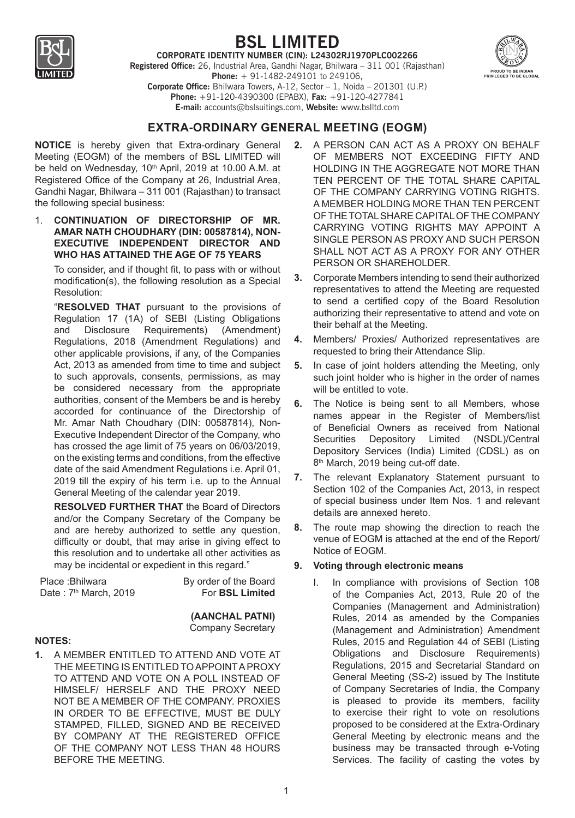

# **BSL LIMITED**

**CORPORATE IDENTITY NUMBER (CIN): L24302RJ1970PLC002266 Registered Office:** 26, Industrial Area, Gandhi Nagar, Bhilwara – 311 001 (Rajasthan) **Phone:** + 91-1482-249101 to 249106, **Corporate Office:** Bhilwara Towers, A-12, Sector – 1, Noida – 201301 (U.P.) **Phone:** +91-120-4390300 (EPABX), **Fax:** +91-120-4277841 **E-mail:** accounts@bslsuitings.com, **Website:** www.bslltd.com



# **Extra-ordinary General Meeting (EOGM)**

**NOTICE** is hereby given that Extra-ordinary General Meeting (EOGM) of the members of BSL LIMITED will be held on Wednesday, 10<sup>th</sup> April, 2019 at 10.00 A.M. at Registered Office of the Company at 26, Industrial Area, Gandhi Nagar, Bhilwara – 311 001 (Rajasthan) to transact the following special business:

1. **CONTINUATION OF DIRECTORSHIP OF MR. AMAR NATH CHOUDHARY (DIN: 00587814), NON-EXECUTIVE INDEPENDENT DIRECTOR AND WHO HAS ATTAINED THE AGE OF 75 YEARS** 

To consider, and if thought fit, to pass with or without modification(s), the following resolution as a Special Resolution:

"**RESOLVED THAT** pursuant to the provisions of Regulation 17 (1A) of SEBI (Listing Obligations and Disclosure Requirements) (Amendment) Regulations, 2018 (Amendment Regulations) and other applicable provisions, if any, of the Companies Act, 2013 as amended from time to time and subject to such approvals, consents, permissions, as may be considered necessary from the appropriate authorities, consent of the Members be and is hereby accorded for continuance of the Directorship of Mr. Amar Nath Choudhary (DIN: 00587814), Non-Executive Independent Director of the Company, who has crossed the age limit of 75 years on 06/03/2019, on the existing terms and conditions, from the effective date of the said Amendment Regulations i.e. April 01, 2019 till the expiry of his term i.e. up to the Annual General Meeting of the calendar year 2019.

**RESOLVED FURTHER THAT** the Board of Directors and/or the Company Secretary of the Company be and are hereby authorized to settle any question, difficulty or doubt, that may arise in giving effect to this resolution and to undertake all other activities as may be incidental or expedient in this regard."

| Place : Bhilwara        | By order of the Board  |
|-------------------------|------------------------|
| Date: $7th$ March, 2019 | For <b>BSL Limited</b> |

**(AANCHAL PATNI)** Company Secretary

#### **NOTES:**

**1.** A MEMBER ENTITLED TO ATTEND AND VOTE AT THE MEETING IS ENTITLED TO APPOINT A PROXY TO ATTEND AND VOTE ON A POLL INSTEAD OF HIMSELF/ HERSELF AND THE PROXY NEED NOT BE A MEMBER OF THE COMPANY. PROXIES IN ORDER TO BE EFFECTIVE, MUST BE DULY STAMPED, FILLED, SIGNED AND BE RECEIVED BY COMPANY AT THE REGISTERED OFFICE OF THE COMPANY NOT LESS THAN 48 HOURS BEFORE THE MEETING.

- **2.** A PERSON CAN ACT AS A PROXY ON BEHALF OF MEMBERS NOT EXCEEDING FIFTY AND HOLDING IN THE AGGREGATE NOT MORE THAN TEN PERCENT OF THE TOTAL SHARE CAPITAL OF THE COMPANY CARRYING VOTING RIGHTS. A MEMBER HOLDING MORE THAN TEN PERCENT OF THE TOTAL SHARE CAPITAL OF THE COMPANY CARRYING VOTING RIGHTS MAY APPOINT A SINGLE PERSON AS PROXY AND SUCH PERSON SHALL NOT ACT AS A PROXY FOR ANY OTHER PERSON OR SHAREHOLDER.
- **3.** Corporate Members intending to send their authorized representatives to attend the Meeting are requested to send a certified copy of the Board Resolution authorizing their representative to attend and vote on their behalf at the Meeting.
- **4.** Members/ Proxies/ Authorized representatives are requested to bring their Attendance Slip.
- **5.** In case of joint holders attending the Meeting, only such joint holder who is higher in the order of names will be entitled to vote.
- **6.** The Notice is being sent to all Members, whose names appear in the Register of Members/list of Beneficial Owners as received from National Securities Depository Limited (NSDL)/Central Depository Services (India) Limited (CDSL) as on 8<sup>th</sup> March, 2019 being cut-off date.
- **7.** The relevant Explanatory Statement pursuant to Section 102 of the Companies Act, 2013, in respect of special business under Item Nos. 1 and relevant details are annexed hereto.
- **8.** The route map showing the direction to reach the venue of EOGM is attached at the end of the Report/ Notice of EOGM.

#### **9. Voting through electronic means**

I. In compliance with provisions of Section 108 of the Companies Act, 2013, Rule 20 of the Companies (Management and Administration) Rules, 2014 as amended by the Companies (Management and Administration) Amendment Rules, 2015 and Regulation 44 of SEBI (Listing Obligations and Disclosure Requirements) Regulations, 2015 and Secretarial Standard on General Meeting (SS-2) issued by The Institute of Company Secretaries of India, the Company is pleased to provide its members, facility to exercise their right to vote on resolutions proposed to be considered at the Extra-Ordinary General Meeting by electronic means and the business may be transacted through e-Voting Services. The facility of casting the votes by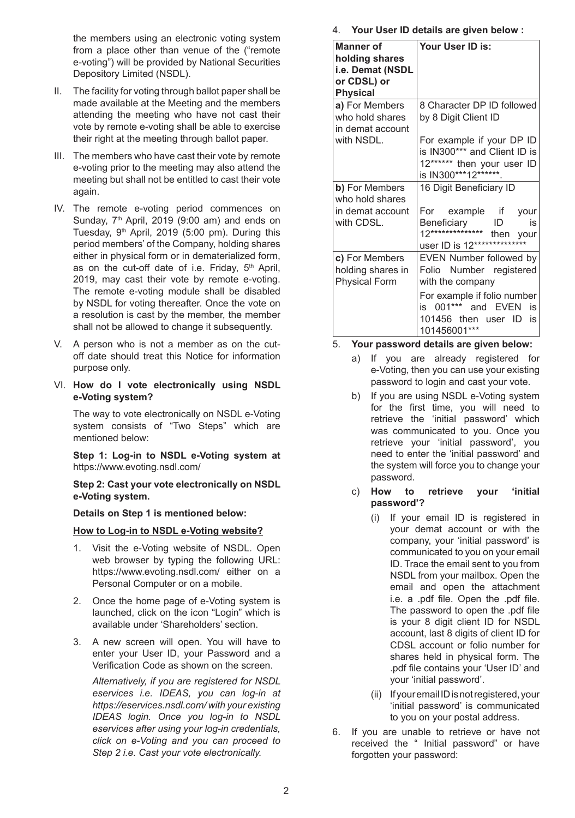the members using an electronic voting system from a place other than venue of the ("remote e-voting") will be provided by National Securities Depository Limited (NSDL).

- II. The facility for voting through ballot paper shall be made available at the Meeting and the members attending the meeting who have not cast their vote by remote e-voting shall be able to exercise their right at the meeting through ballot paper.
- III. The members who have cast their vote by remote e-voting prior to the meeting may also attend the meeting but shall not be entitled to cast their vote again.
- IV. The remote e-voting period commences on Sunday, 7<sup>th</sup> April, 2019 (9:00 am) and ends on Tuesday, 9<sup>th</sup> April, 2019 (5:00 pm). During this period members' of the Company, holding shares either in physical form or in dematerialized form, as on the cut-off date of i.e. Friday, 5<sup>th</sup> April, 2019, may cast their vote by remote e-voting. The remote e-voting module shall be disabled by NSDL for voting thereafter. Once the vote on a resolution is cast by the member, the member shall not be allowed to change it subsequently.
- V. A person who is not a member as on the cutoff date should treat this Notice for information purpose only.
- VI. **How do I vote electronically using NSDL e-Voting system?**

The way to vote electronically on NSDL e-Voting system consists of "Two Steps" which are mentioned below:

**Step 1: Log-in to NSDL e-Voting system at** https://www.evoting.nsdl.com/

**Step 2: Cast your vote electronically on NSDL e-Voting system.**

**Details on Step 1 is mentioned below:**

#### **How to Log-in to NSDL e-Voting website?**

- 1. Visit the e-Voting website of NSDL. Open web browser by typing the following URL: https://www.evoting.nsdl.com/ either on a Personal Computer or on a mobile.
- 2. Once the home page of e-Voting system is launched, click on the icon "Login" which is available under 'Shareholders' section.
- 3. A new screen will open. You will have to enter your User ID, your Password and a Verification Code as shown on the screen.

*Alternatively, if you are registered for NSDL eservices i.e. IDEAS, you can log-in at https://eservices.nsdl.com/ with your existing IDEAS login. Once you log-in to NSDL eservices after using your log-in credentials, click on e-Voting and you can proceed to Step 2 i.e. Cast your vote electronically.*

4. **Your User ID details are given below :**

| <b>Manner of</b><br>holding shares<br>i.e. Demat (NSDL<br>or CDSL) or<br><b>Physical</b> | Your User ID is:                                                                                                |
|------------------------------------------------------------------------------------------|-----------------------------------------------------------------------------------------------------------------|
| a) For Members<br>who hold shares<br>in demat account                                    | 8 Character DP ID followed<br>by 8 Digit Client ID                                                              |
| with NSDL.                                                                               | For example if your DP ID<br>is IN300*** and Client ID is<br>12****** then your user ID<br>is IN300***12******. |
| b) For Members<br>who hold shares                                                        | 16 Digit Beneficiary ID                                                                                         |
| in demat account<br>with CDSL.                                                           | For example if your<br>Beneficiary ID is<br>12************** then your<br>user ID is 12**************           |
| c) For Members<br>holding shares in<br><b>Physical Form</b>                              | EVEN Number followed by<br>Folio Number registered<br>with the company                                          |
|                                                                                          | For example if folio number<br>is 001*** and EVEN<br>is<br>101456 then user ID<br>is<br>101456001***            |

#### 5. **Your password details are given below:**

- a) If you are already registered for e-Voting, then you can use your existing password to login and cast your vote.
- b) If you are using NSDL e-Voting system for the first time, you will need to retrieve the 'initial password' which was communicated to you. Once you retrieve your 'initial password', you need to enter the 'initial password' and the system will force you to change your password.
- c) **How to retrieve your 'initial password'?**
	- (i) If your email ID is registered in your demat account or with the company, your 'initial password' is communicated to you on your email ID. Trace the email sent to you from NSDL from your mailbox. Open the email and open the attachment i.e. a .pdf file. Open the .pdf file. The password to open the .pdf file is your 8 digit client ID for NSDL account, last 8 digits of client ID for CDSL account or folio number for shares held in physical form. The .pdf file contains your 'User ID' and your 'initial password'.
	- (ii) If your email ID is not registered, your 'initial password' is communicated to you on your postal address.
- 6. If you are unable to retrieve or have not received the " Initial password" or have forgotten your password: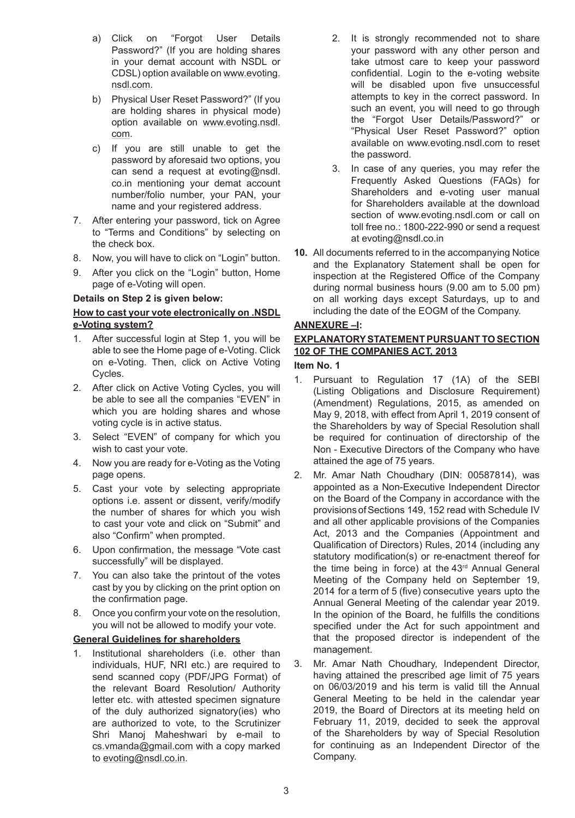- a) Click on "Forgot User Details Password?" (If you are holding shares in your demat account with NSDL or CDSL) option available on www.evoting. nsdl.com.
- b) Physical User Reset Password?" (If you are holding shares in physical mode) option available on www.evoting.nsdl. com.
- c) If you are still unable to get the password by aforesaid two options, you can send a request at evoting@nsdl. co.in mentioning your demat account number/folio number, your PAN, your name and your registered address.
- 7. After entering your password, tick on Agree to "Terms and Conditions" by selecting on the check box.
- 8. Now, you will have to click on "Login" button.
- 9. After you click on the "Login" button, Home page of e-Voting will open.

#### **Details on Step 2 is given below:**

### **How to cast your vote electronically on .NSDL e-Voting system?**

- 1. After successful login at Step 1, you will be able to see the Home page of e-Voting. Click on e-Voting. Then, click on Active Voting Cycles.
- 2. After click on Active Voting Cycles, you will be able to see all the companies "EVEN" in which you are holding shares and whose voting cycle is in active status.
- 3. Select "EVEN" of company for which you wish to cast your vote.
- 4. Now you are ready for e-Voting as the Voting page opens.
- 5. Cast your vote by selecting appropriate options i.e. assent or dissent, verify/modify the number of shares for which you wish to cast your vote and click on "Submit" and also "Confirm" when prompted.
- 6. Upon confirmation, the message "Vote cast successfully" will be displayed.
- 7. You can also take the printout of the votes cast by you by clicking on the print option on the confirmation page.
- 8. Once you confirm your vote on the resolution, you will not be allowed to modify your vote.

# **General Guidelines for shareholders**

1. Institutional shareholders (i.e. other than individuals, HUF, NRI etc.) are required to send scanned copy (PDF/JPG Format) of the relevant Board Resolution/ Authority letter etc. with attested specimen signature of the duly authorized signatory(ies) who are authorized to vote, to the Scrutinizer Shri Manoj Maheshwari by e-mail to cs.vmanda@gmail.com with a copy marked to evoting@nsdl.co.in.

- 2. It is strongly recommended not to share your password with any other person and take utmost care to keep your password confidential. Login to the e-voting website will be disabled upon five unsuccessful attempts to key in the correct password. In such an event, you will need to go through the "Forgot User Details/Password?" or "Physical User Reset Password?" option available on www.evoting.nsdl.com to reset the password.
- 3. In case of any queries, you may refer the Frequently Asked Questions (FAQs) for Shareholders and e-voting user manual for Shareholders available at the download section of www.evoting.nsdl.com or call on toll free no.: 1800-222-990 or send a request at evoting@nsdl.co.in
- **10.** All documents referred to in the accompanying Notice and the Explanatory Statement shall be open for inspection at the Registered Office of the Company during normal business hours (9.00 am to 5.00 pm) on all working days except Saturdays, up to and including the date of the EOGM of the Company.

### **ANNEXURE –I:**

# **EXPLANATORY STATEMENT PURSUANT TO SECTION 102 OF THE COMPANIES ACT, 2013**

#### **Item No. 1**

- 1. Pursuant to Regulation 17 (1A) of the SEBI (Listing Obligations and Disclosure Requirement) (Amendment) Regulations, 2015, as amended on May 9, 2018, with effect from April 1, 2019 consent of the Shareholders by way of Special Resolution shall be required for continuation of directorship of the Non - Executive Directors of the Company who have attained the age of 75 years.
- 2. Mr. Amar Nath Choudhary (DIN: 00587814), was appointed as a Non-Executive Independent Director on the Board of the Company in accordance with the provisions of Sections 149, 152 read with Schedule IV and all other applicable provisions of the Companies Act, 2013 and the Companies (Appointment and Qualification of Directors) Rules, 2014 (including any statutory modification(s) or re-enactment thereof for the time being in force) at the 43<sup>rd</sup> Annual General Meeting of the Company held on September 19, 2014 for a term of 5 (five) consecutive years upto the Annual General Meeting of the calendar year 2019. In the opinion of the Board, he fulfills the conditions specified under the Act for such appointment and that the proposed director is independent of the management.
- 3. Mr. Amar Nath Choudhary, Independent Director, having attained the prescribed age limit of 75 years on 06/03/2019 and his term is valid till the Annual General Meeting to be held in the calendar year 2019, the Board of Directors at its meeting held on February 11, 2019, decided to seek the approval of the Shareholders by way of Special Resolution for continuing as an Independent Director of the Company.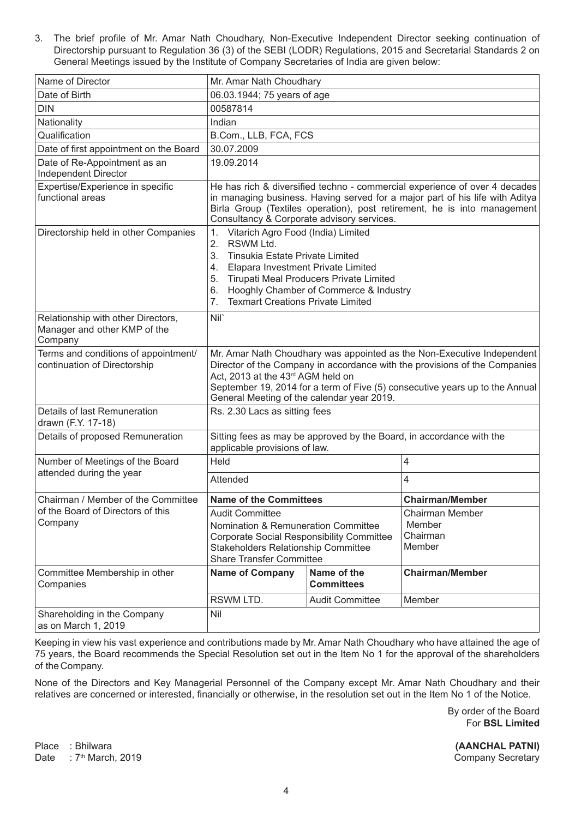3. The brief profile of Mr. Amar Nath Choudhary, Non-Executive Independent Director seeking continuation of Directorship pursuant to Regulation 36 (3) of the SEBI (LODR) Regulations, 2015 and Secretarial Standards 2 on General Meetings issued by the Institute of Company Secretaries of India are given below:

| Name of Director                                                              | Mr. Amar Nath Choudhary                                                                                                                                                                                                                                                                                                 |                                  |                                                 |
|-------------------------------------------------------------------------------|-------------------------------------------------------------------------------------------------------------------------------------------------------------------------------------------------------------------------------------------------------------------------------------------------------------------------|----------------------------------|-------------------------------------------------|
| Date of Birth                                                                 | 06.03.1944; 75 years of age                                                                                                                                                                                                                                                                                             |                                  |                                                 |
| <b>DIN</b>                                                                    | 00587814                                                                                                                                                                                                                                                                                                                |                                  |                                                 |
| Nationality                                                                   | Indian                                                                                                                                                                                                                                                                                                                  |                                  |                                                 |
| Qualification                                                                 | B.Com., LLB, FCA, FCS                                                                                                                                                                                                                                                                                                   |                                  |                                                 |
| Date of first appointment on the Board                                        | 30.07.2009                                                                                                                                                                                                                                                                                                              |                                  |                                                 |
| Date of Re-Appointment as an<br>Independent Director                          | 19.09.2014                                                                                                                                                                                                                                                                                                              |                                  |                                                 |
| Expertise/Experience in specific<br>functional areas                          | He has rich & diversified techno - commercial experience of over 4 decades<br>in managing business. Having served for a major part of his life with Aditya<br>Birla Group (Textiles operation), post retirement, he is into management<br>Consultancy & Corporate advisory services.                                    |                                  |                                                 |
| Directorship held in other Companies                                          | Vitarich Agro Food (India) Limited<br>1.<br>2.<br>RSWM Ltd.<br>3.<br>Tinsukia Estate Private Limited<br><b>Elapara Investment Private Limited</b><br>4.<br>Tirupati Meal Producers Private Limited<br>5.<br>Hooghly Chamber of Commerce & Industry<br>6.<br><b>Texmart Creations Private Limited</b><br>7.              |                                  |                                                 |
| Relationship with other Directors,<br>Manager and other KMP of the<br>Company | Nil <sup>*</sup>                                                                                                                                                                                                                                                                                                        |                                  |                                                 |
| Terms and conditions of appointment/<br>continuation of Directorship          | Mr. Amar Nath Choudhary was appointed as the Non-Executive Independent<br>Director of the Company in accordance with the provisions of the Companies<br>Act, 2013 at the 43rd AGM held on<br>September 19, 2014 for a term of Five (5) consecutive years up to the Annual<br>General Meeting of the calendar year 2019. |                                  |                                                 |
| Details of last Remuneration<br>drawn (F.Y. 17-18)                            | Rs. 2.30 Lacs as sitting fees                                                                                                                                                                                                                                                                                           |                                  |                                                 |
| Details of proposed Remuneration                                              | Sitting fees as may be approved by the Board, in accordance with the<br>applicable provisions of law.                                                                                                                                                                                                                   |                                  |                                                 |
| Number of Meetings of the Board                                               | Held                                                                                                                                                                                                                                                                                                                    |                                  | 4                                               |
| attended during the year                                                      | Attended                                                                                                                                                                                                                                                                                                                |                                  | 4                                               |
| Chairman / Member of the Committee                                            | <b>Name of the Committees</b><br><b>Audit Committee</b><br>Nomination & Remuneration Committee<br><b>Corporate Social Responsibility Committee</b><br><b>Stakeholders Relationship Committee</b><br><b>Share Transfer Committee</b>                                                                                     |                                  | <b>Chairman/Member</b>                          |
| of the Board of Directors of this<br>Company                                  |                                                                                                                                                                                                                                                                                                                         |                                  | Chairman Member<br>Member<br>Chairman<br>Member |
| Committee Membership in other<br>Companies                                    | <b>Name of Company</b>                                                                                                                                                                                                                                                                                                  | Name of the<br><b>Committees</b> | <b>Chairman/Member</b>                          |
|                                                                               | RSWM LTD.                                                                                                                                                                                                                                                                                                               | <b>Audit Committee</b>           | Member                                          |
| Shareholding in the Company<br>as on March 1, 2019                            | Nil                                                                                                                                                                                                                                                                                                                     |                                  |                                                 |

Keeping in view his vast experience and contributions made by Mr. Amar Nath Choudhary who have attained the age of 75 years, the Board recommends the Special Resolution set out in the Item No 1 for the approval of the shareholders of the Company.

None of the Directors and Key Managerial Personnel of the Company except Mr. Amar Nath Choudhary and their relatives are concerned or interested, financially or otherwise, in the resolution set out in the Item No 1 of the Notice.

> By order of the Board For **BSL Limited**

Place : Bhilwara **(AANCHAL PATNI)** Date : 7<sup>th</sup> March, 2019 **Company Secretary** Company Secretary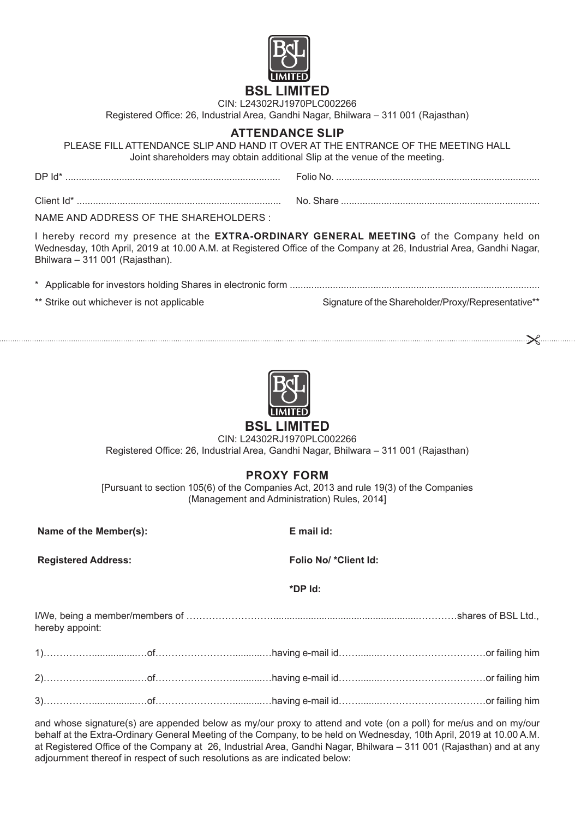

# **BSL LIMITED**

CIN: L24302RJ1970PLC002266

Registered Office: 26, Industrial Area, Gandhi Nagar, Bhilwara – 311 001 (Rajasthan)

# **Attendance Slip**

PLEASE FILL ATTENDANCE SLIP AND HAND IT OVER AT THE ENTRANCE OF THE MEETING HALL Joint shareholders may obtain additional Slip at the venue of the meeting.

| $DPId^*$ .                             |  |
|----------------------------------------|--|
|                                        |  |
| NAME AND ADDRESS OF THE SHAREHOLDERS : |  |

I hereby record my presence at the **EXTRA-ORDINARY GENERAL MEETING** of the Company held on Wednesday, 10th April, 2019 at 10.00 A.M. at Registered Office of the Company at 26, Industrial Area, Gandhi Nagar, Bhilwara – 311 001 (Rajasthan).

\* Applicable for investors holding Shares in electronic form .............................................................................................

\*\* Strike out whichever is not applicable Signature of the Shareholder/Proxy/Representative\*\*



# **BSL LIMITED**

CIN: L24302RJ1970PLC002266

Registered Office: 26, Industrial Area, Gandhi Nagar, Bhilwara – 311 001 (Rajasthan)

# **PROXY FORM**

[Pursuant to section 105(6) of the Companies Act, 2013 and rule 19(3) of the Companies (Management and Administration) Rules, 2014]

**Name of the Member(s): E mail id:**

**Registered Address: Folio No/ \*Client Id:**

**\*DP Id:**

I/We, being a member/members of ………………………......................................................…………shares of BSL Ltd., hereby appoint:

and whose signature(s) are appended below as my/our proxy to attend and vote (on a poll) for me/us and on my/our behalf at the Extra-Ordinary General Meeting of the Company, to be held on Wednesday, 10th April, 2019 at 10.00 A.M. at Registered Office of the Company at 26, Industrial Area, Gandhi Nagar, Bhilwara – 311 001 (Rajasthan) and at any adjournment thereof in respect of such resolutions as are indicated below: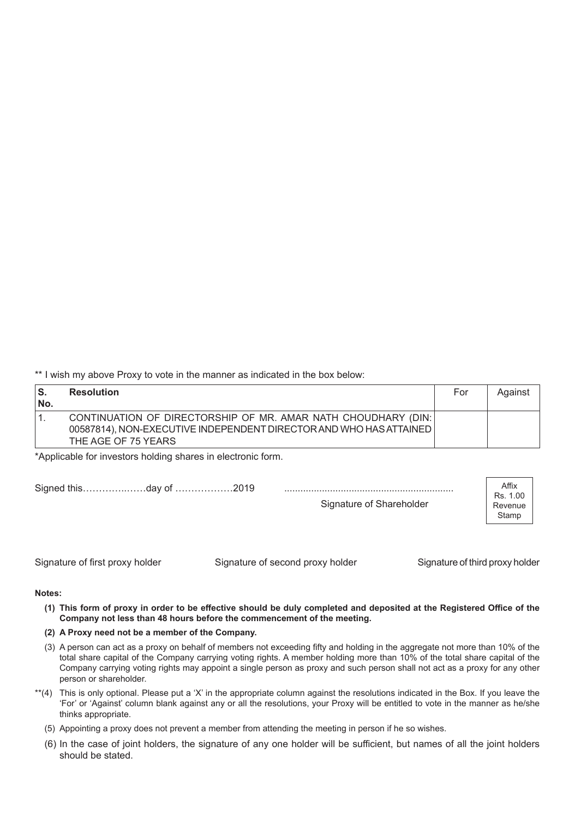\*\* I wish my above Proxy to vote in the manner as indicated in the box below:

| ۱S.<br>No. | <b>Resolution</b>                                                                                                                                          | For | Against |
|------------|------------------------------------------------------------------------------------------------------------------------------------------------------------|-----|---------|
|            | CONTINUATION OF DIRECTORSHIP OF MR. AMAR NATH CHOUDHARY (DIN:<br>00587814), NON-EXECUTIVE INDEPENDENT DIRECTOR AND WHO HAS ATTAINED<br>THE AGE OF 75 YEARS |     |         |

\*Applicable for investors holding shares in electronic form.

| Signed thisday of 2019 |                          | Affix                        |  |
|------------------------|--------------------------|------------------------------|--|
|                        | Signature of Shareholder | Rs. 1.00<br>Revenue<br>Stamp |  |
|                        |                          |                              |  |

Signature of first proxy holder Signature of second proxy holder Signature of third proxy holder

#### **Notes:**

- (1) This form of proxy in order to be effective should be duly completed and deposited at the Registered Office of the **Company not less than 48 hours before the commencement of the meeting.**
- **(2) A Proxy need not be a member of the Company.**
- (3) A person can act as a proxy on behalf of members not exceeding fifty and holding in the aggregate not more than 10% of the total share capital of the Company carrying voting rights. A member holding more than 10% of the total share capital of the Company carrying voting rights may appoint a single person as proxy and such person shall not act as a proxy for any other person or shareholder.
- \*\*(4) This is only optional. Please put a 'X' in the appropriate column against the resolutions indicated in the Box. If you leave the 'For' or 'Against' column blank against any or all the resolutions, your Proxy will be entitled to vote in the manner as he/she thinks appropriate.
	- (5) Appointing a proxy does not prevent a member from attending the meeting in person if he so wishes.
	- (6) In the case of joint holders, the signature of any one holder will be sufficient, but names of all the joint holders should be stated.